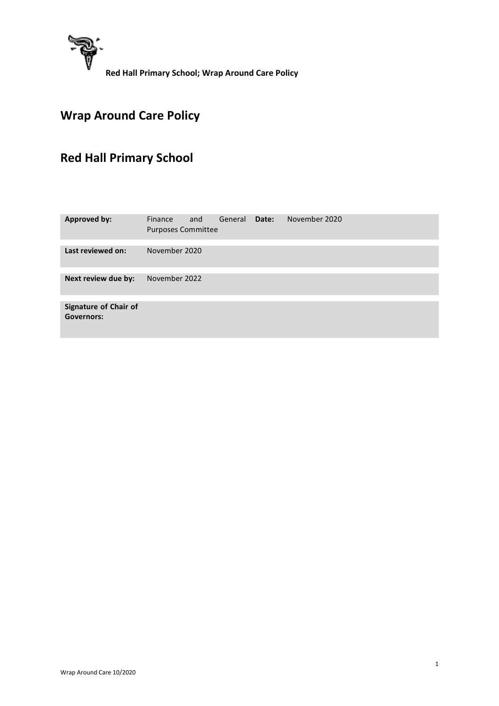

# **Wrap Around Care Policy**

# **Red Hall Primary School**

| <b>Approved by:</b>                        | Finance<br><b>Purposes Committee</b> | and | General | Date: | November 2020 |  |
|--------------------------------------------|--------------------------------------|-----|---------|-------|---------------|--|
|                                            |                                      |     |         |       |               |  |
| Last reviewed on:                          | November 2020                        |     |         |       |               |  |
|                                            |                                      |     |         |       |               |  |
| Next review due by:                        | November 2022                        |     |         |       |               |  |
|                                            |                                      |     |         |       |               |  |
| Signature of Chair of<br><b>Governors:</b> |                                      |     |         |       |               |  |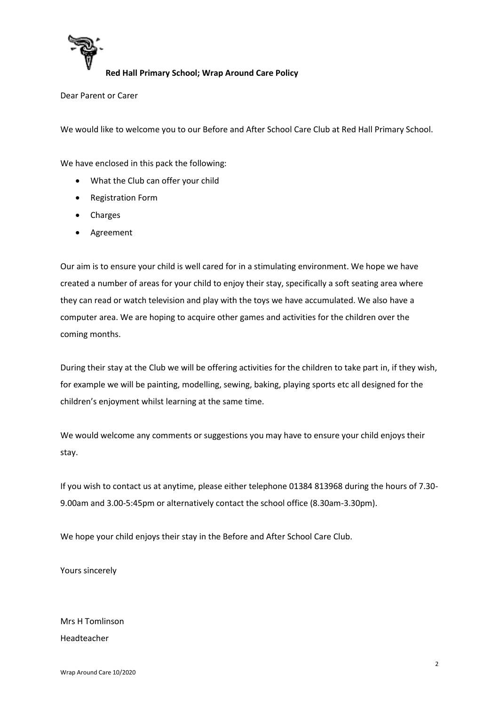

Dear Parent or Carer

We would like to welcome you to our Before and After School Care Club at Red Hall Primary School.

We have enclosed in this pack the following:

- What the Club can offer your child
- Registration Form
- Charges
- Agreement

Our aim is to ensure your child is well cared for in a stimulating environment. We hope we have created a number of areas for your child to enjoy their stay, specifically a soft seating area where they can read or watch television and play with the toys we have accumulated. We also have a computer area. We are hoping to acquire other games and activities for the children over the coming months.

During their stay at the Club we will be offering activities for the children to take part in, if they wish, for example we will be painting, modelling, sewing, baking, playing sports etc all designed for the children's enjoyment whilst learning at the same time.

We would welcome any comments or suggestions you may have to ensure your child enjoys their stay.

If you wish to contact us at anytime, please either telephone 01384 813968 during the hours of 7.30- 9.00am and 3.00-5:45pm or alternatively contact the school office (8.30am-3.30pm).

We hope your child enjoys their stay in the Before and After School Care Club.

Yours sincerely

Mrs H Tomlinson Headteacher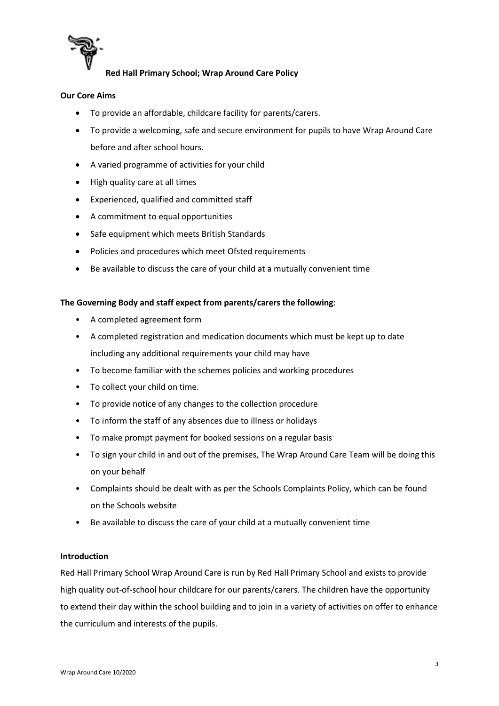

# **Our Core Aims**

- To provide an affordable, childcare facility for parents/carers.
- To provide a welcoming, safe and secure environment for pupils to have Wrap Around Care before and after school hours.
- A varied programme of activities for your child
- High quality care at all times
- Experienced, qualified and committed staff
- A commitment to equal opportunities
- Safe equipment which meets British Standards
- Policies and procedures which meet Ofsted requirements
- Be available to discuss the care of your child at a mutually convenient time

#### **The Governing Body and staff expect from parents/carers the following**:

- A completed agreement form
- A completed registration and medication documents which must be kept up to date including any additional requirements your child may have
- To become familiar with the schemes policies and working procedures
- To collect your child on time.
- To provide notice of any changes to the collection procedure
- To inform the staff of any absences due to illness or holidays
- To make prompt payment for booked sessions on a regular basis
- To sign your child in and out of the premises, The Wrap Around Care Team will be doing this on your behalf
- Complaints should be dealt with as per the Schools Complaints Policy, which can be found on the Schools website
- Be available to discuss the care of your child at a mutually convenient time

#### **Introduction**

Red Hall Primary School Wrap Around Care is run by Red Hall Primary School and exists to provide high quality out-of-school hour childcare for our parents/carers. The children have the opportunity to extend their day within the school building and to join in a variety of activities on offer to enhance the curriculum and interests of the pupils.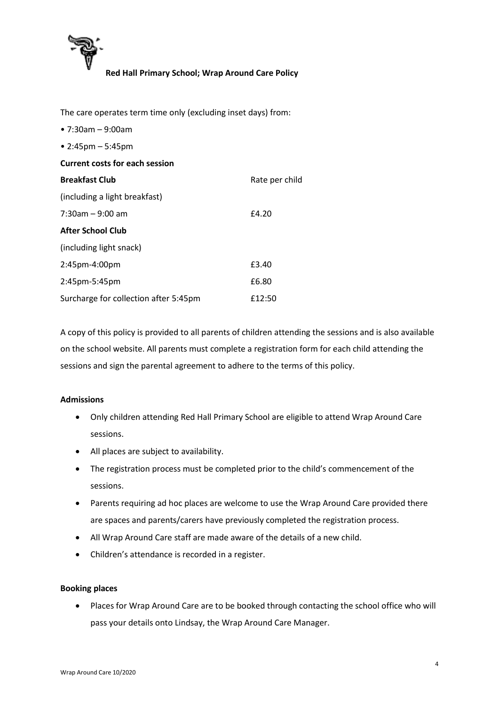

The care operates term time only (excluding inset days) from: • 7:30am – 9:00am • 2:45pm – 5:45pm **Current costs for each session Breakfast Club**  (including a light breakfast) Rate per child 7:30am – 9:00 am £4.20 **After School Club**  (including light snack) 2:45pm-4:00pm **£3.40** 2:45pm-5:45pm **£6.80** Surcharge for collection after 5:45pm £12:50

A copy of this policy is provided to all parents of children attending the sessions and is also available on the school website. All parents must complete a registration form for each child attending the sessions and sign the parental agreement to adhere to the terms of this policy.

#### **Admissions**

- Only children attending Red Hall Primary School are eligible to attend Wrap Around Care sessions.
- All places are subject to availability.
- The registration process must be completed prior to the child's commencement of the sessions.
- Parents requiring ad hoc places are welcome to use the Wrap Around Care provided there are spaces and parents/carers have previously completed the registration process.
- All Wrap Around Care staff are made aware of the details of a new child.
- Children's attendance is recorded in a register.

#### **Booking places**

 Places for Wrap Around Care are to be booked through contacting the school office who will pass your details onto Lindsay, the Wrap Around Care Manager.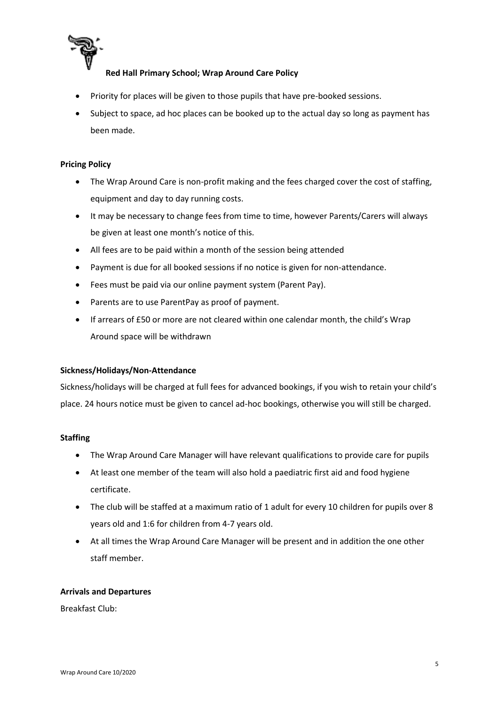

- Priority for places will be given to those pupils that have pre-booked sessions.
- Subject to space, ad hoc places can be booked up to the actual day so long as payment has been made.

#### **Pricing Policy**

- The Wrap Around Care is non-profit making and the fees charged cover the cost of staffing, equipment and day to day running costs.
- It may be necessary to change fees from time to time, however Parents/Carers will always be given at least one month's notice of this.
- All fees are to be paid within a month of the session being attended
- Payment is due for all booked sessions if no notice is given for non-attendance.
- Fees must be paid via our online payment system (Parent Pay).
- Parents are to use ParentPay as proof of payment.
- If arrears of £50 or more are not cleared within one calendar month, the child's Wrap Around space will be withdrawn

#### **Sickness/Holidays/Non-Attendance**

Sickness/holidays will be charged at full fees for advanced bookings, if you wish to retain your child's place. 24 hours notice must be given to cancel ad-hoc bookings, otherwise you will still be charged.

#### **Staffing**

- The Wrap Around Care Manager will have relevant qualifications to provide care for pupils
- At least one member of the team will also hold a paediatric first aid and food hygiene certificate.
- The club will be staffed at a maximum ratio of 1 adult for every 10 children for pupils over 8 years old and 1:6 for children from 4-7 years old.
- At all times the Wrap Around Care Manager will be present and in addition the one other staff member.

#### **Arrivals and Departures**

Breakfast Club: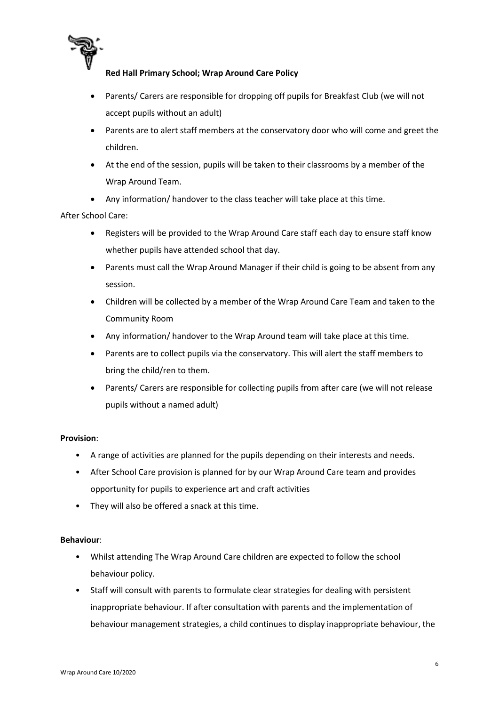

- Parents/ Carers are responsible for dropping off pupils for Breakfast Club (we will not accept pupils without an adult)
- Parents are to alert staff members at the conservatory door who will come and greet the children.
- At the end of the session, pupils will be taken to their classrooms by a member of the Wrap Around Team.
- Any information/ handover to the class teacher will take place at this time.

## After School Care:

- Registers will be provided to the Wrap Around Care staff each day to ensure staff know whether pupils have attended school that day.
- Parents must call the Wrap Around Manager if their child is going to be absent from any session.
- Children will be collected by a member of the Wrap Around Care Team and taken to the Community Room
- Any information/ handover to the Wrap Around team will take place at this time.
- Parents are to collect pupils via the conservatory. This will alert the staff members to bring the child/ren to them.
- Parents/ Carers are responsible for collecting pupils from after care (we will not release pupils without a named adult)

#### **Provision**:

- A range of activities are planned for the pupils depending on their interests and needs.
- After School Care provision is planned for by our Wrap Around Care team and provides opportunity for pupils to experience art and craft activities
- They will also be offered a snack at this time.

#### **Behaviour**:

- Whilst attending The Wrap Around Care children are expected to follow the school behaviour policy.
- Staff will consult with parents to formulate clear strategies for dealing with persistent inappropriate behaviour. If after consultation with parents and the implementation of behaviour management strategies, a child continues to display inappropriate behaviour, the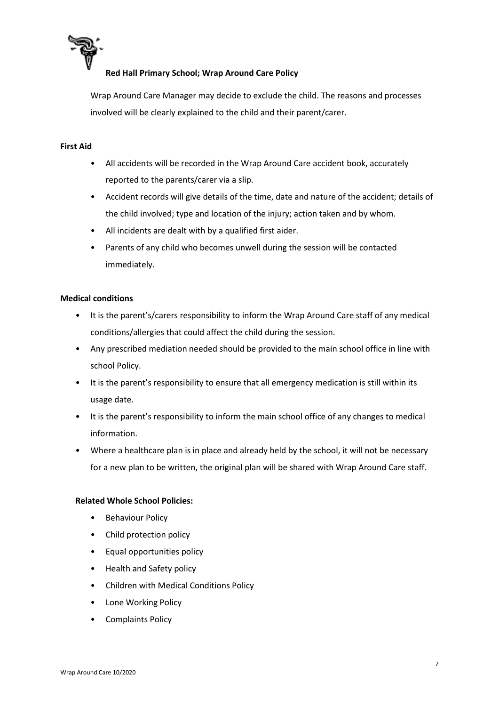

Wrap Around Care Manager may decide to exclude the child. The reasons and processes involved will be clearly explained to the child and their parent/carer.

#### **First Aid**

- All accidents will be recorded in the Wrap Around Care accident book, accurately reported to the parents/carer via a slip.
- Accident records will give details of the time, date and nature of the accident; details of the child involved; type and location of the injury; action taken and by whom.
- All incidents are dealt with by a qualified first aider.
- Parents of any child who becomes unwell during the session will be contacted immediately.

#### **Medical conditions**

- It is the parent's/carers responsibility to inform the Wrap Around Care staff of any medical conditions/allergies that could affect the child during the session.
- Any prescribed mediation needed should be provided to the main school office in line with school Policy.
- It is the parent's responsibility to ensure that all emergency medication is still within its usage date.
- It is the parent's responsibility to inform the main school office of any changes to medical information.
- Where a healthcare plan is in place and already held by the school, it will not be necessary for a new plan to be written, the original plan will be shared with Wrap Around Care staff.

#### **Related Whole School Policies:**

- Behaviour Policy
- Child protection policy
- Equal opportunities policy
- Health and Safety policy
- Children with Medical Conditions Policy
- Lone Working Policy
- Complaints Policy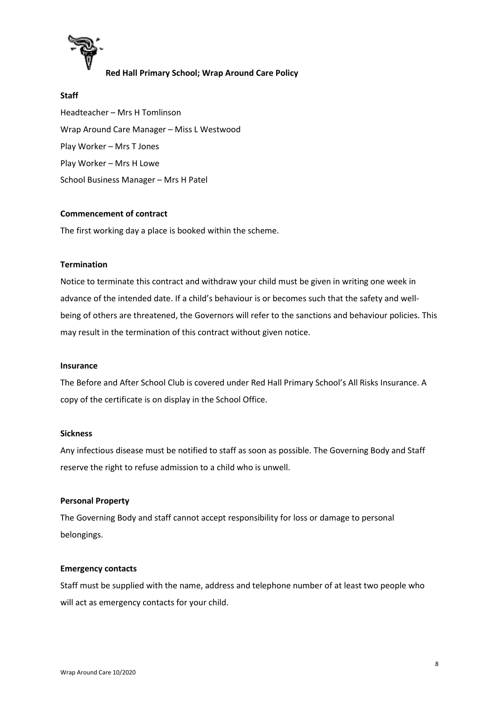

#### **Staff**

Headteacher – Mrs H Tomlinson Wrap Around Care Manager – Miss L Westwood Play Worker – Mrs T Jones Play Worker – Mrs H Lowe School Business Manager – Mrs H Patel

#### **Commencement of contract**

The first working day a place is booked within the scheme.

#### **Termination**

Notice to terminate this contract and withdraw your child must be given in writing one week in advance of the intended date. If a child's behaviour is or becomes such that the safety and wellbeing of others are threatened, the Governors will refer to the sanctions and behaviour policies. This may result in the termination of this contract without given notice.

#### **Insurance**

The Before and After School Club is covered under Red Hall Primary School's All Risks Insurance. A copy of the certificate is on display in the School Office.

#### **Sickness**

Any infectious disease must be notified to staff as soon as possible. The Governing Body and Staff reserve the right to refuse admission to a child who is unwell.

#### **Personal Property**

The Governing Body and staff cannot accept responsibility for loss or damage to personal belongings.

#### **Emergency contacts**

Staff must be supplied with the name, address and telephone number of at least two people who will act as emergency contacts for your child.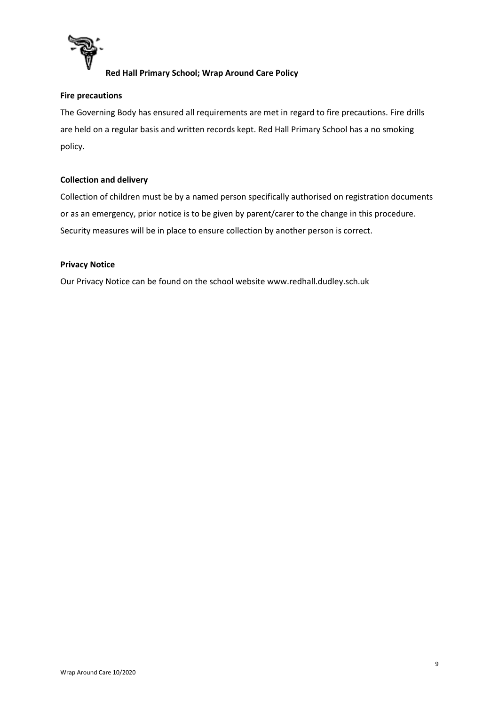

# **Fire precautions**

The Governing Body has ensured all requirements are met in regard to fire precautions. Fire drills are held on a regular basis and written records kept. Red Hall Primary School has a no smoking policy.

## **Collection and delivery**

Collection of children must be by a named person specifically authorised on registration documents or as an emergency, prior notice is to be given by parent/carer to the change in this procedure. Security measures will be in place to ensure collection by another person is correct.

#### **Privacy Notice**

Our Privacy Notice can be found on the school website www.redhall.dudley.sch.uk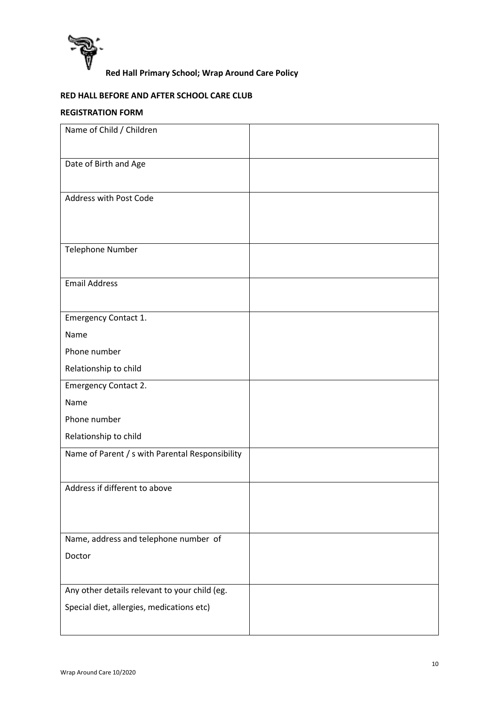

# **RED HALL BEFORE AND AFTER SCHOOL CARE CLUB**

# **REGISTRATION FORM**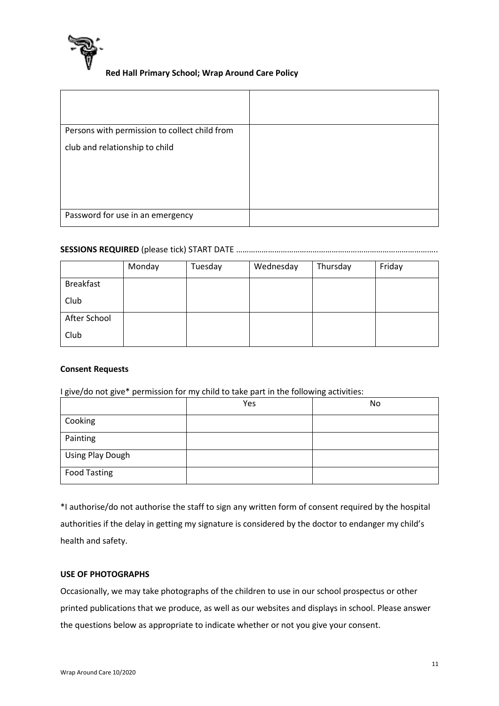

| Persons with permission to collect child from |  |
|-----------------------------------------------|--|
| club and relationship to child                |  |
| Password for use in an emergency              |  |

# **SESSIONS REQUIRED** (please tick) START DATE …………………………………………………………………………………..

|                  | Monday | Tuesday | Wednesday | Thursday | Friday |
|------------------|--------|---------|-----------|----------|--------|
| <b>Breakfast</b> |        |         |           |          |        |
| Club             |        |         |           |          |        |
| After School     |        |         |           |          |        |
| Club             |        |         |           |          |        |

#### **Consent Requests**

I give/do not give\* permission for my child to take part in the following activities:

|                     | Yes | No |
|---------------------|-----|----|
| Cooking             |     |    |
| Painting            |     |    |
| Using Play Dough    |     |    |
| <b>Food Tasting</b> |     |    |

\*I authorise/do not authorise the staff to sign any written form of consent required by the hospital authorities if the delay in getting my signature is considered by the doctor to endanger my child's health and safety.

#### **USE OF PHOTOGRAPHS**

Occasionally, we may take photographs of the children to use in our school prospectus or other printed publications that we produce, as well as our websites and displays in school. Please answer the questions below as appropriate to indicate whether or not you give your consent.